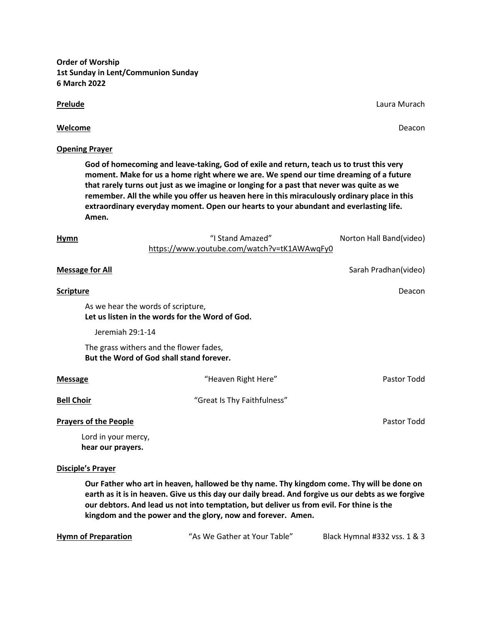**Order of Worship 1st Sunday in Lent/Communion Sunday 6 March 2022**

## **Prelude** Laura Murach **Contract Contract Contract Contract Contract Contract Contract Contract Contract Contract Contract Contract Contract Contract Contract Contract Contract Contract Contract Contract Contract Contract**

# **Welcome** Deacon

## **Opening Prayer**

**God of homecoming and leave-taking, God of exile and return, teach us to trust this very moment. Make for us a home right where we are. We spend our time dreaming of a future that rarely turns out just as we imagine or longing for a past that never was quite as we remember. All the while you offer us heaven here in this miraculously ordinary place in this extraordinary everyday moment. Open our hearts to your abundant and everlasting life. Amen.**

| <b>Hymn</b>                              | "I Stand Amazed"<br>https://www.youtube.com/watch?v=tK1AWAwqFy0                       | Norton Hall Band(video) |
|------------------------------------------|---------------------------------------------------------------------------------------|-------------------------|
| <b>Message for All</b>                   |                                                                                       | Sarah Pradhan(video)    |
| <b>Scripture</b>                         |                                                                                       | Deacon                  |
|                                          | As we hear the words of scripture,<br>Let us listen in the words for the Word of God. |                         |
| Jeremiah 29:1-14                         |                                                                                       |                         |
|                                          | The grass withers and the flower fades,<br>But the Word of God shall stand forever.   |                         |
| <b>Message</b>                           | "Heaven Right Here"                                                                   | Pastor Todd             |
| <b>Bell Choir</b>                        | "Great Is Thy Faithfulness"                                                           |                         |
| <b>Prayers of the People</b>             |                                                                                       | Pastor Todd             |
| Lord in your mercy,<br>hear our prayers. |                                                                                       |                         |

## **Disciple's Prayer**

**Our Father who art in heaven, hallowed be thy name. Thy kingdom come. Thy will be done on earth as it is in heaven. Give us this day our daily bread. And forgive us our debts as we forgive our debtors. And lead us not into temptation, but deliver us from evil. For thine is the kingdom and the power and the glory, now and forever. Amen.**

| <b>Hymn of Preparation</b> | "As We Gather at Your Table" | Black Hymnal #332 vss. 1 & 3 |
|----------------------------|------------------------------|------------------------------|
|                            |                              |                              |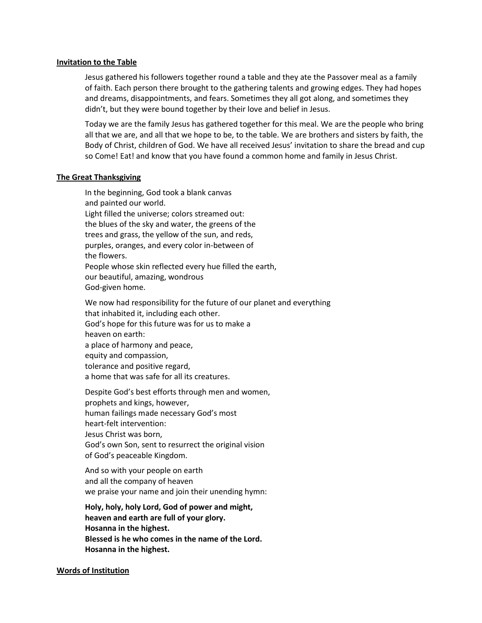#### **Invitation to the Table**

Jesus gathered his followers together round a table and they ate the Passover meal as a family of faith. Each person there brought to the gathering talents and growing edges. They had hopes and dreams, disappointments, and fears. Sometimes they all got along, and sometimes they didn't, but they were bound together by their love and belief in Jesus.

Today we are the family Jesus has gathered together for this meal. We are the people who bring all that we are, and all that we hope to be, to the table. We are brothers and sisters by faith, the Body of Christ, children of God. We have all received Jesus' invitation to share the bread and cup so Come! Eat! and know that you have found a common home and family in Jesus Christ.

## **The Great Thanksgiving**

In the beginning, God took a blank canvas and painted our world. Light filled the universe; colors streamed out: the blues of the sky and water, the greens of the trees and grass, the yellow of the sun, and reds, purples, oranges, and every color in-between of the flowers. People whose skin reflected every hue filled the earth, our beautiful, amazing, wondrous God-given home.

We now had responsibility for the future of our planet and everything that inhabited it, including each other. God's hope for this future was for us to make a heaven on earth: a place of harmony and peace, equity and compassion, tolerance and positive regard, a home that was safe for all its creatures.

Despite God's best efforts through men and women, prophets and kings, however, human failings made necessary God's most heart-felt intervention: Jesus Christ was born, God's own Son, sent to resurrect the original vision of God's peaceable Kingdom.

And so with your people on earth and all the company of heaven we praise your name and join their unending hymn:

**Holy, holy, holy Lord, God of power and might, heaven and earth are full of your glory. Hosanna in the highest. Blessed is he who comes in the name of the Lord. Hosanna in the highest.**

**Words of Institution**